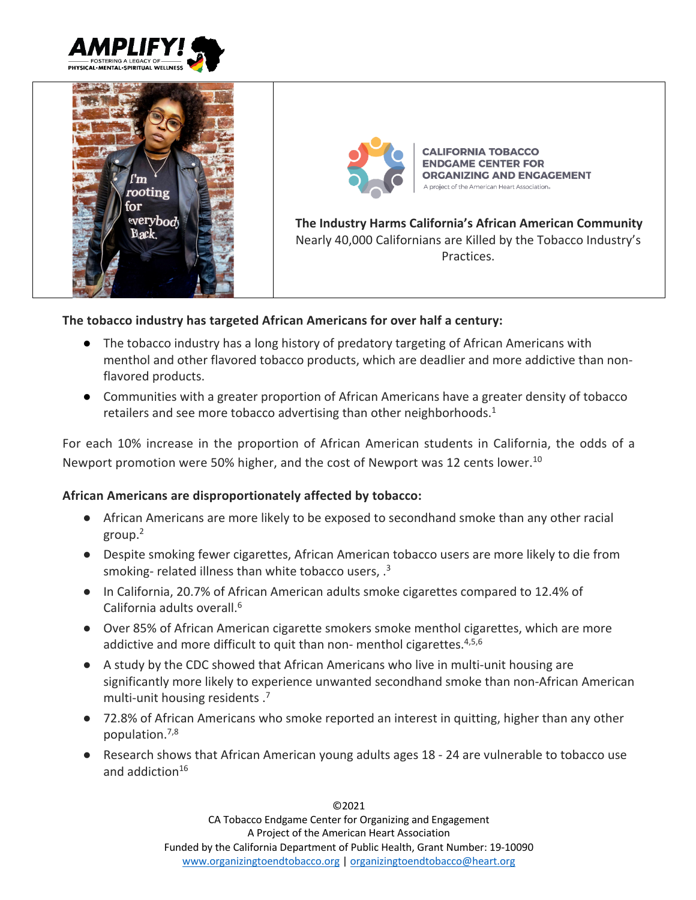





**CALIFORNIA TOBACCO ENDGAME CENTER FOR ORGANIZING AND ENGAGEMENT** ect of the American Heart Association.

**The Industry Harms California's African American Community** Nearly 40,000 Californians are Killed by the Tobacco Industry's Practices.

## **The tobacco industry has targeted African Americans for over half a century:**

- The tobacco industry has a long history of predatory targeting of African Americans with menthol and other flavored tobacco products, which are deadlier and more addictive than nonflavored products.
- Communities with a greater proportion of African Americans have a greater density of tobacco retailers and see more tobacco advertising than other neighborhoods. $1$

For each 10% increase in the proportion of African American students in California, the odds of a Newport promotion were 50% higher, and the cost of Newport was 12 cents lower.<sup>10</sup>

## **African Americans are disproportionately affected by tobacco:**

- African Americans are more likely to be exposed to secondhand smoke than any other racial group.2
- Despite smoking fewer cigarettes, African American tobacco users are more likely to die from smoking- related illness than white tobacco users,  $3<sup>3</sup>$
- In California, 20.7% of African American adults smoke cigarettes compared to 12.4% of California adults overall.6
- Over 85% of African American cigarette smokers smoke menthol cigarettes, which are more addictive and more difficult to quit than non- menthol cigarettes.<sup>4,5,6</sup>
- A study by the CDC showed that African Americans who live in multi-unit housing are significantly more likely to experience unwanted secondhand smoke than non-African American multi-unit housing residents .<sup>7</sup>
- 72.8% of African Americans who smoke reported an interest in quitting, higher than any other population.7,8
- Research shows that African American young adults ages 18 24 are vulnerable to tobacco use and addiction $16$

©2021 CA Tobacco Endgame Center for Organizing and Engagement A Project of the American Heart Association Funded by the California Department of Public Health, Grant Number: 19-10090 www.organizingtoendtobacco.org | organizingtoendtobacco@heart.org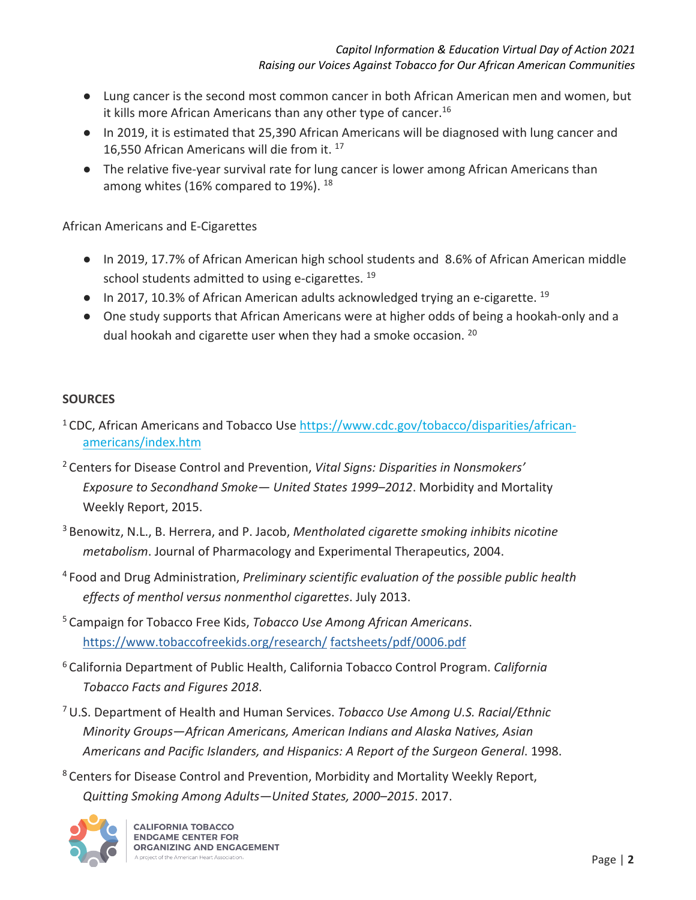- Lung cancer is the second most common cancer in both African American men and women, but it kills more African Americans than any other type of cancer.<sup>16</sup>
- In 2019, it is estimated that 25,390 African Americans will be diagnosed with lung cancer and 16,550 African Americans will die from it. 17
- The relative five-year survival rate for lung cancer is lower among African Americans than among whites (16% compared to 19%). <sup>18</sup>

## African Americans and E-Cigarettes

- In 2019, 17.7% of African American high school students and 8.6% of African American middle school students admitted to using e-cigarettes.<sup>19</sup>
- $\bullet$  In 2017, 10.3% of African American adults acknowledged trying an e-cigarette. <sup>19</sup>
- One study supports that African Americans were at higher odds of being a hookah-only and a dual hookah and cigarette user when they had a smoke occasion. <sup>20</sup>

## **SOURCES**

- 1 CDC, African Americans and Tobacco Use https://www.cdc.gov/tobacco/disparities/africanamericans/index.htm
- 2 Centers for Disease Control and Prevention, *Vital Signs: Disparities in Nonsmokers' Exposure to Secondhand Smoke— United States 1999–2012*. Morbidity and Mortality Weekly Report, 2015.
- 3 Benowitz, N.L., B. Herrera, and P. Jacob, *Mentholated cigarette smoking inhibits nicotine metabolism*. Journal of Pharmacology and Experimental Therapeutics, 2004.
- 4 Food and Drug Administration, *Preliminary scientific evaluation of the possible public health effects of menthol versus nonmenthol cigarettes*. July 2013.
- 5 Campaign for Tobacco Free Kids, *Tobacco Use Among African Americans*. https://www.tobaccofreekids.org/research/ factsheets/pdf/0006.pdf
- 6 California Department of Public Health, California Tobacco Control Program. *California Tobacco Facts and Figures 2018*.
- 7 U.S. Department of Health and Human Services. *Tobacco Use Among U.S. Racial/Ethnic Minority Groups—African Americans, American Indians and Alaska Natives, Asian Americans and Pacific Islanders, and Hispanics: A Report of the Surgeon General*. 1998.
- 8 Centers for Disease Control and Prevention, Morbidity and Mortality Weekly Report, *Quitting Smoking Among Adults—United States, 2000–2015*. 2017.

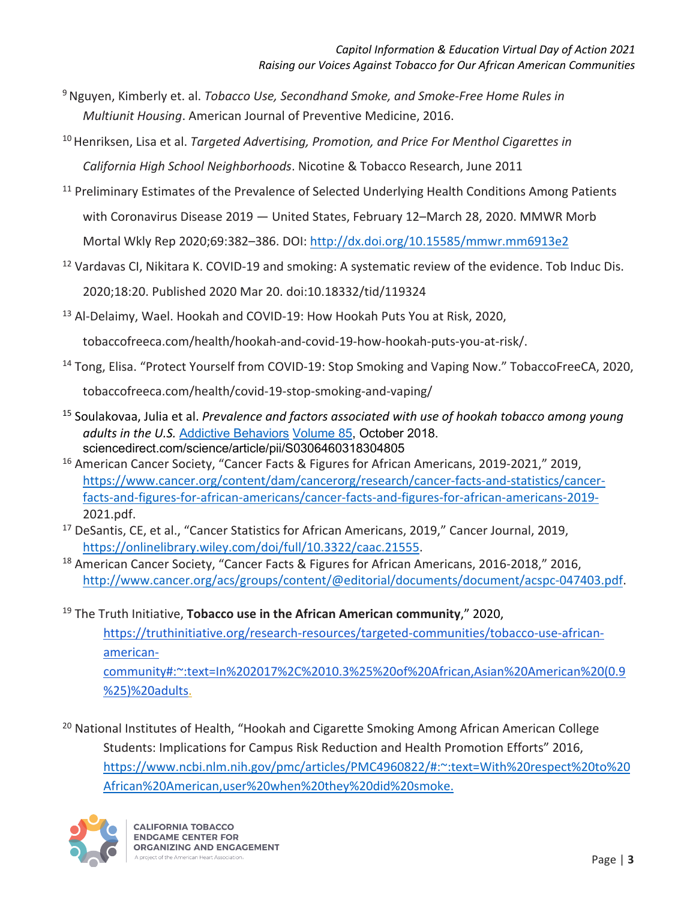- 9 Nguyen, Kimberly et. al. *Tobacco Use, Secondhand Smoke, and Smoke-Free Home Rules in Multiunit Housing*. American Journal of Preventive Medicine, 2016.
- 10 Henriksen, Lisa et al. *Targeted Advertising, Promotion, and Price For Menthol Cigarettes in California High School Neighborhoods*. Nicotine & Tobacco Research, June 2011
- <sup>11</sup> Preliminary Estimates of the Prevalence of Selected Underlying Health Conditions Among Patients with Coronavirus Disease 2019 — United States, February 12–March 28, 2020. MMWR Morb Mortal Wkly Rep 2020;69:382–386. DOI: http://dx.doi.org/10.15585/mmwr.mm6913e2
- <sup>12</sup> Vardavas CI, Nikitara K. COVID-19 and smoking: A systematic review of the evidence. Tob Induc Dis. 2020;18:20. Published 2020 Mar 20. doi:10.18332/tid/119324
- <sup>13</sup> Al-Delaimy, Wael. Hookah and COVID-19: How Hookah Puts You at Risk, 2020,

tobaccofreeca.com/health/hookah-and-covid-19-how-hookah-puts-you-at-risk/.

<sup>14</sup> Tong, Elisa. "Protect Yourself from COVID-19: Stop Smoking and Vaping Now." TobaccoFreeCA, 2020,

tobaccofreeca.com/health/covid-19-stop-smoking-and-vaping/

- <sup>15</sup> Soulakovaa, Julia et al. *Prevalence and factors associated with use of hookah tobacco among young adults in the U.S.* Addictive Behaviors Volume 85, October 2018. sciencedirect.com/science/article/pii/S0306460318304805
- <sup>16</sup> American Cancer Society, "Cancer Facts & Figures for African Americans, 2019-2021," 2019, https://www.cancer.org/content/dam/cancerorg/research/cancer-facts-and-statistics/cancerfacts-and-figures-for-african-americans/cancer-facts-and-figures-for-african-americans-2019- 2021.pdf.
- <sup>17</sup> DeSantis, CE, et al., "Cancer Statistics for African Americans, 2019," Cancer Journal, 2019, https://onlinelibrary.wiley.com/doi/full/10.3322/caac.21555.
- <sup>18</sup> American Cancer Society, "Cancer Facts & Figures for African Americans, 2016-2018," 2016, http://www.cancer.org/acs/groups/content/@editorial/documents/document/acspc-047403.pdf.

<sup>19</sup> The Truth Initiative, **Tobacco use in the African American community**," 2020, https://truthinitiative.org/research-resources/targeted-communities/tobacco-use-african-

american-

community#:~:text=In%202017%2C%2010.3%25%20of%20African,Asian%20American%20(0.9 %25)%20adults.

<sup>20</sup> National Institutes of Health, "Hookah and Cigarette Smoking Among African American College Students: Implications for Campus Risk Reduction and Health Promotion Efforts" 2016, https://www.ncbi.nlm.nih.gov/pmc/articles/PMC4960822/#:~:text=With%20respect%20to%20 African%20American,user%20when%20they%20did%20smoke.